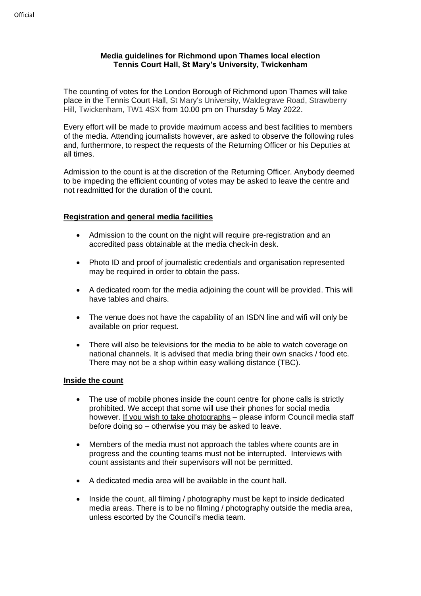## **Media guidelines for Richmond upon Thames local election Tennis Court Hall, St Mary's University, Twickenham**

The counting of votes for the London Borough of Richmond upon Thames will take place in the Tennis Court Hall, St Mary's University, Waldegrave Road, Strawberry Hill, Twickenham, TW1 4SX from 10.00 pm on Thursday 5 May 2022.

Every effort will be made to provide maximum access and best facilities to members of the media. Attending journalists however, are asked to observe the following rules and, furthermore, to respect the requests of the Returning Officer or his Deputies at all times.

Admission to the count is at the discretion of the Returning Officer. Anybody deemed to be impeding the efficient counting of votes may be asked to leave the centre and not readmitted for the duration of the count.

# **Registration and general media facilities**

- Admission to the count on the night will require pre-registration and an accredited pass obtainable at the media check-in desk.
- Photo ID and proof of journalistic credentials and organisation represented may be required in order to obtain the pass.
- A dedicated room for the media adjoining the count will be provided. This will have tables and chairs.
- The venue does not have the capability of an ISDN line and wifi will only be available on prior request.
- There will also be televisions for the media to be able to watch coverage on national channels. It is advised that media bring their own snacks / food etc. There may not be a shop within easy walking distance (TBC).

## **Inside the count**

- The use of mobile phones inside the count centre for phone calls is strictly prohibited. We accept that some will use their phones for social media however. If you wish to take photographs - please inform Council media staff before doing so – otherwise you may be asked to leave.
- Members of the media must not approach the tables where counts are in progress and the counting teams must not be interrupted. Interviews with count assistants and their supervisors will not be permitted.
- A dedicated media area will be available in the count hall.
- Inside the count, all filming / photography must be kept to inside dedicated media areas. There is to be no filming / photography outside the media area, unless escorted by the Council's media team.